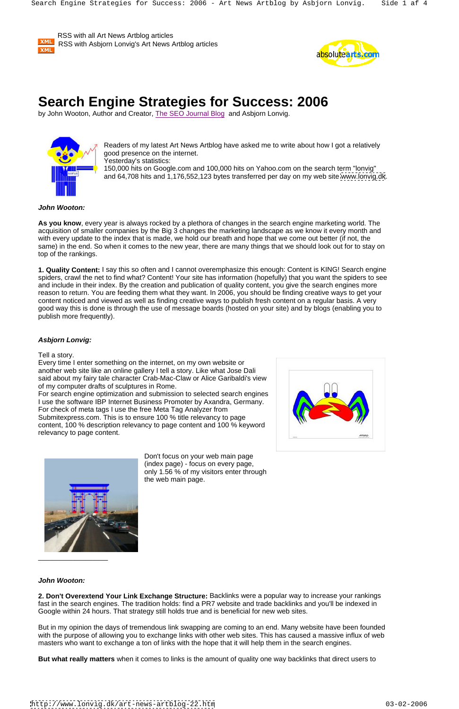RSS with all Art News Artblog articles RSS with Asbjorn Lonvig's Art News Artblog articles XML



# **Search Engine Strategies for Success: 2006**

by John Wooton, Author and Creator, The SEO Journal Blog and Asbjorn Lonvig.



Readers of my latest Art News Artblog have asked me to write about how I got a relatively good presence on the internet. Yesterday's statistics:

150,000 hits on Google.com and 100,000 hits on Yahoo.com on the search term "lonvig" and 64,708 hits and 1,176,552,123 bytes transferred per day on my web site [www.lonvig.dk](http://www.lonvig.dk).

## **John Wooton:**

**As you know**, every year is always rocked by a plethora of changes in the search engine marketing world. The acquisition of smaller companies by the Big 3 changes the marketing landscape as we know it every month and with every update to the index that is made, we hold our breath and hope that we come out better (if not, the same) in the end. So when it comes to the new year, there are many things that we should look out for to stay on top of the rankings.

**1. Quality Content:** I say this so often and I cannot overemphasize this enough: Content is KING! Search engine spiders, crawl the net to find what? Content! Your site has information (hopefully) that you want the spiders to see and include in their index. By the creation and publication of quality content, you give the search engines more reason to return. You are feeding them what they want. In 2006, you should be finding creative ways to get your content noticed and viewed as well as finding creative ways to publish fresh content on a regular basis. A very good way this is done is through the use of message boards (hosted on your site) and by blogs (enabling you to publish more frequently).

## **Asbjorn Lonvig:**



Every time I enter something on the internet, on my own website or another web site like an online gallery I tell a story. Like what Jose Dali said about my fairy tale character Crab-Mac-Claw or Alice Garibaldi's view of my computer drafts of sculptures in Rome.

For search engine optimization and submission to selected search engines I use the software IBP Internet Business Promoter by Axandra, Germany. For check of meta tags I use the free Meta Tag Analyzer from Submitexpress.com. This is to ensure 100 % title relevancy to page content, 100 % description relevancy to page content and 100 % keyword relevancy to page content.

> Don't focus on your web main page (index page) - focus on every page, only 1.56 % of my visitors enter through



**John Wooton:**

**2. Don't Overextend Your Link Exchange Structure:** Backlinks were a popular way to increase your rankings fast in the search engines. The tradition holds: find a PR7 website and trade backlinks and you'll be indexed in Google within 24 hours. That strategy still holds true and is beneficial for new web sites.

But in my opinion the days of tremendous link swapping are coming to an end. Many website have been founded with the purpose of allowing you to exchange links with other web sites. This has caused a massive influx of web masters who want to exchange a ton of links with the hope that it will help them in the search engines.

**But what really matters** when it comes to links is the amount of quality one way backlinks that direct users to

<http://www.lonvig.dk/art-news-artblog-22.htm> 03-02-2006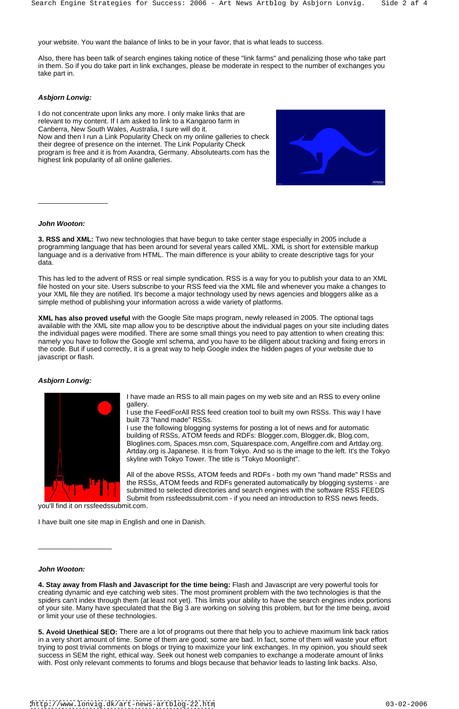your website. You want the balance of links to be in your favor, that is what leads to success.

Also, there has been talk of search engines taking notice of these "link farms" and penalizing those who take part in them. So if you do take part in link exchanges, please be moderate in respect to the number of exchanges you take part in.

## **Asbjorn Lonvig:**

**3. RSS and XML:** Two new technologies that have begun to take center stage especially in 2005 include a programming language that has been around for several years called XML. XML is short for extensible markup language and is a derivative from HTML. The main difference is your ability to create descriptive tags for your data. The contract of the contract of the contract of the contract of the contract of the contract of the contract of the contract of the contract of the contract of the contract of the contract of the contract of the con

I do not concentrate upon links any more. I only make links that are relevant to my content. If I am asked to link to a Kangaroo farm in Canberra, New South Wales, Australia, I sure will do it. Now and then I run a Link Popularity Check on my online galleries to check their degree of presence on the internet. The Link Popularity Check program is free and it is from Axandra, Germany. Absolutearts.com has the highest link popularity of all online galleries.



### **John Wooton:**

I have made an RSS to all main pages on my web site and an RSS to every online gallery. The contract of the contract of the contract of the contract of the contract of the contract of the contract of the contract of the contract of the contract of the contract of the contract of the contract of the c

This has led to the advent of RSS or real simple syndication. RSS is a way for you to publish your data to an XML file hosted on your site. Users subscribe to your RSS feed via the XML file and whenever you make a changes to your XML file they are notified. It's become a major technology used by news agencies and bloggers alike as a simple method of publishing your information across a wide variety of platforms.

**XML has also proved useful** with the Google Site maps program, newly released in 2005. The optional tags available with the XML site map allow you to be descriptive about the individual pages on your site including dates the individual pages were modified. There are some small things you need to pay attention to when creating this: namely you have to follow the Google xml schema, and you have to be diligent about tracking and fixing errors in the code. But if used correctly, it is a great way to help Google index the hidden pages of your website due to javascript or flash.

## **Asbjorn Lonvig:**



I use the FeedForAll RSS feed creation tool to built my own RSSs. This way I have built 73 "hand made" RSSs.

I use the following blogging systems for posting a lot of news and for automatic building of RSSs, ATOM feeds and RDFs: Blogger.com, Blogger.dk, Blog.com, Bloglines.com, Spaces.msn.com, Squarespace.com, Angelfire.com and Artday.org. Artday.org is Japanese. It is from Tokyo. And so is the image to the left. It's the Tokyo skyline with Tokyo Tower. The title is "Tokyo Moonlight".

All of the above RSSs, ATOM feeds and RDFs - both my own "hand made" RSSs and the RSSs, ATOM feeds and RDFs generated automatically by blogging systems - are submitted to selected directories and search engines with the software RSS FEEDS Submit from rssfeedssubmit.com - if you need an introduction to RSS news feeds,

you'll find it on rssfeedssubmit.com.

**John Wooton:**

**4. Stay away from Flash and Javascript for the time being:** Flash and Javascript are very powerful tools for creating dynamic and eye catching web sites. The most prominent problem with the two technologies is that the spiders can't index through them (at least not yet). This limits your ability to have the search engines index portions of your site. Many have speculated that the Big 3 are working on solving this problem, but for the time being, avoid or limit your use of these technologies.

**5. Avoid Unethical SEO:** There are a lot of programs out there that help you to achieve maximum link back ratios in a very short amount of time. Some of them are good; some are bad. In fact, some of them will waste your effort trying to post trivial comments on blogs or trying to maximize your link exchanges. In my opinion, you should seek success in SEM the right, ethical way. Seek out honest web companies to exchange a moderate amount of links with. Post only relevant comments to forums and blogs because that behavior leads to lasting link backs. Also,

 $\overline{\phantom{a}}$  , we can assume that the contract of the contract of the contract of the contract of the contract of the contract of the contract of the contract of the contract of the contract of the contract of the contract

<http://www.lonvig.dk/art-news-artblog-22.htm> 03-02-2006

 $\Box$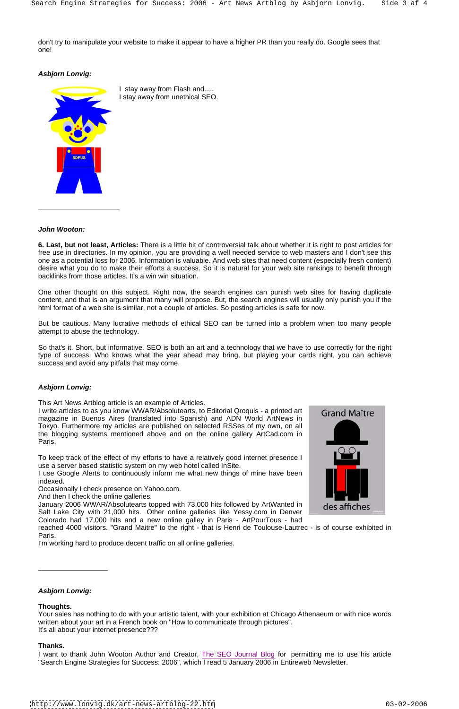don't try to manipulate your website to make it appear to have a higher PR than you really do. Google sees that one!

## **Asbjorn Lonvig:**



## **John Wooton:**

**6. Last, but not least, Articles:** There is a little bit of controversial talk about whether it is right to post articles for free use in directories. In my opinion, you are providing a well needed service to web masters and I don't see this one as a potential loss for 2006. Information is valuable. And web sites that need content (especially fresh content) desire what you do to make their efforts a success. So it is natural for your web site rankings to benefit through backlinks from those articles. It's a win win situation.

One other thought on this subject. Right now, the search engines can punish web sites for having duplicate content, and that is an argument that many will propose. But, the search engines will usually only punish you if the html format of a web site is similar, not a couple of articles. So posting articles is safe for now.

I use Google Alerts to continuously inform me what new things of mine have been indexed. A second contract the contract of the contract of the contract of the contract of the contract of the

But be cautious. Many lucrative methods of ethical SEO can be turned into a problem when too many people attempt to abuse the technology.

So that's it. Short, but informative. SEO is both an art and a technology that we have to use correctly for the right type of success. Who knows what the year ahead may bring, but playing your cards right, you can achieve success and avoid any pitfalls that may come.

## **Asbjorn Lonvig:**

This Art News Artblog article is an example of Articles.

I write articles to as you know WWAR/Absolutearts, to Editorial Qroquis - a printed art Grand Maître magazine in Buenos Aires (translated into Spanish) and ADN World ArtNews in Tokyo. Furthermore my articles are published on selected RSSes of my own, on all the blogging systems mentioned above and on the online gallery ArtCad.com in Paris. <u>Andrea and the second contract of the second contract of the second contract of the second contract of the second contract of the second contract of the second contract of the second contract of the second contract</u>

I want to thank John Wooton Author and Creator, The SEO Journal Blog for permitting me to use his article "Search Engine Strategies for Success: 2006", which I read 5 January 2006 in Entireweb Newsletter.

To keep track of the effect of my efforts to have a relatively good internet presence I use a server based statistic system on my web hotel called InSite.

Occasionally I check presence on Yahoo.com.

And then I check the online galleries.

January 2006 WWAR/Absolutearts topped with 73,000 hits followed by ArtWanted in des affiches Salt Lake City with 21,000 hits. Other online galleries like Yessy.com in Denver Colorado had 17,000 hits and a new online galley in Paris - ArtPourTous - had reached 4000 visitors. "Grand Maitre" to the right - that is Henri de Toulouse-Lautrec - is of course exhibited in Paris. **Example 20** No. 2014 12:30 A No. 2014 12:30 A No. 2014 12:30 A No. 2014 12:30 A No. 2014 12:30 A No. 2014 12:30 A No. 2014 12:30 A No. 2014 12:30 A No. 2014 12:30 A No. 2014 12:30 A No. 2014 12:30 A No. 2014 12:30



I'm working hard to produce decent traffic on all online galleries. \_\_\_\_\_\_\_\_\_\_\_\_\_\_\_\_\_\_

**Asbjorn Lonvig:**

#### **Thoughts.**

Your sales has nothing to do with your artistic talent, with your exhibition at Chicago Athenaeum or with nice words written about your art in a French book on "How to communicate through pictures". It's all about your internet presence???

#### **Thanks.**

<http://www.lonvig.dk/art-news-artblog-22.htm> 03-02-2006